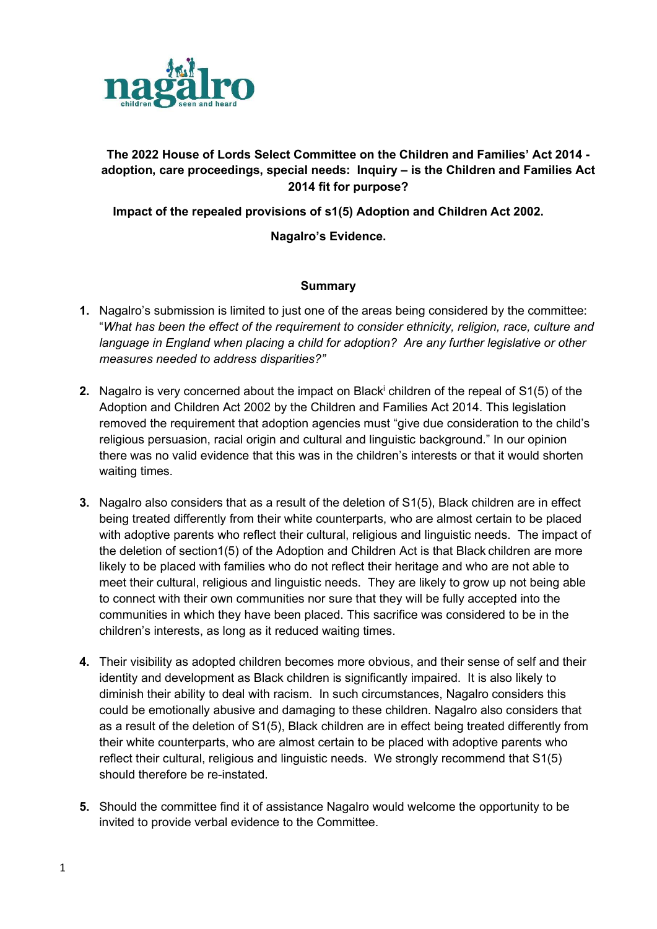

# The 2022 House of Lords Select Committee on the Children and Families' Act 2014 adoption, care proceedings, special needs: Inquiry – is the Children and Families Act 2014 fit for purpose?

Impact of the repealed provisions of s1(5) Adoption and Children Act 2002.

# Nagalro's Evidence.

#### **Summary**

- 1. Nagalro's submission is limited to just one of the areas being considered by the committee: "What has been the effect of the requirement to consider ethnicity, religion, race, culture and language in England when placing a child for adoption? Are any further legislative or other measures needed to address disparities?"
- 2. Nagalro is very concerned about the impact on Black<sup>i</sup> children of the repeal of S1(5) of the Adoption and Children Act 2002 by the Children and Families Act 2014. This legislation removed the requirement that adoption agencies must "give due consideration to the child's religious persuasion, racial origin and cultural and linguistic background." In our opinion there was no valid evidence that this was in the children's interests or that it would shorten waiting times.
- 3. Nagalro also considers that as a result of the deletion of S1(5), Black children are in effect being treated differently from their white counterparts, who are almost certain to be placed with adoptive parents who reflect their cultural, religious and linguistic needs. The impact of the deletion of section1(5) of the Adoption and Children Act is that Black children are more likely to be placed with families who do not reflect their heritage and who are not able to meet their cultural, religious and linguistic needs. They are likely to grow up not being able to connect with their own communities nor sure that they will be fully accepted into the communities in which they have been placed. This sacrifice was considered to be in the children's interests, as long as it reduced waiting times.
- 4. Their visibility as adopted children becomes more obvious, and their sense of self and their identity and development as Black children is significantly impaired. It is also likely to diminish their ability to deal with racism. In such circumstances, Nagalro considers this could be emotionally abusive and damaging to these children. Nagalro also considers that as a result of the deletion of S1(5), Black children are in effect being treated differently from their white counterparts, who are almost certain to be placed with adoptive parents who reflect their cultural, religious and linguistic needs. We strongly recommend that S1(5) should therefore be re-instated.
- 5. Should the committee find it of assistance Nagalro would welcome the opportunity to be invited to provide verbal evidence to the Committee.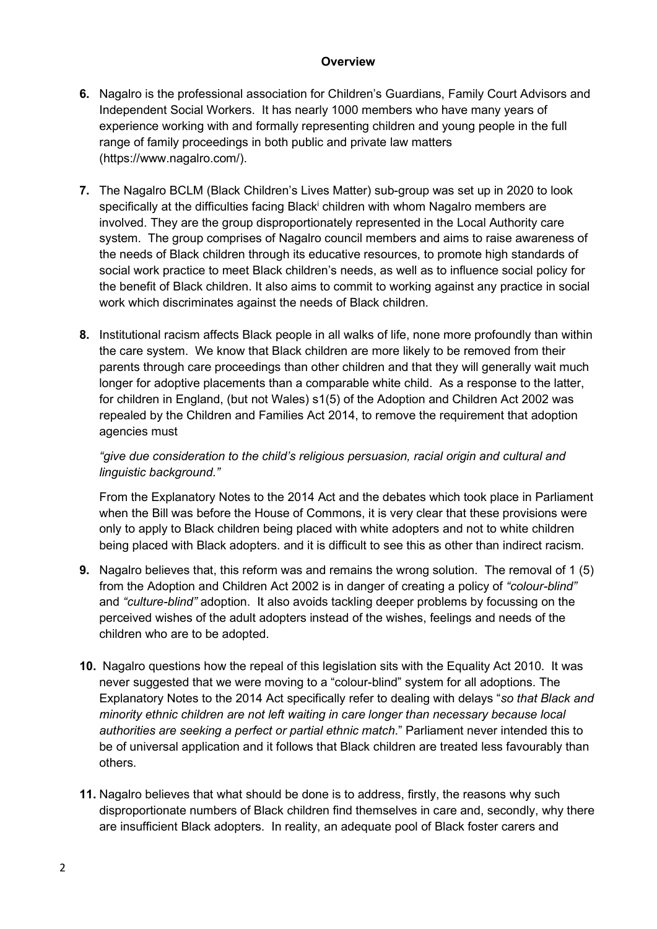### **Overview**

- 6. Nagalro is the professional association for Children's Guardians, Family Court Advisors and Independent Social Workers. It has nearly 1000 members who have many years of experience working with and formally representing children and young people in the full range of family proceedings in both public and private law matters (https://www.nagalro.com/).
- 7. The Nagalro BCLM (Black Children's Lives Matter) sub-group was set up in 2020 to look specifically at the difficulties facing Black<sup>i</sup> children with whom Nagalro members are involved. They are the group disproportionately represented in the Local Authority care system. The group comprises of Nagalro council members and aims to raise awareness of the needs of Black children through its educative resources, to promote high standards of social work practice to meet Black children's needs, as well as to influence social policy for the benefit of Black children. It also aims to commit to working against any practice in social work which discriminates against the needs of Black children.
- 8. Institutional racism affects Black people in all walks of life, none more profoundly than within the care system. We know that Black children are more likely to be removed from their parents through care proceedings than other children and that they will generally wait much longer for adoptive placements than a comparable white child. As a response to the latter, for children in England, (but not Wales) s1(5) of the Adoption and Children Act 2002 was repealed by the Children and Families Act 2014, to remove the requirement that adoption agencies must

"give due consideration to the child's religious persuasion, racial origin and cultural and linguistic background."

From the Explanatory Notes to the 2014 Act and the debates which took place in Parliament when the Bill was before the House of Commons, it is very clear that these provisions were only to apply to Black children being placed with white adopters and not to white children being placed with Black adopters. and it is difficult to see this as other than indirect racism.

- 9. Nagalro believes that, this reform was and remains the wrong solution. The removal of 1 (5) from the Adoption and Children Act 2002 is in danger of creating a policy of "colour-blind" and "culture-blind" adoption. It also avoids tackling deeper problems by focussing on the perceived wishes of the adult adopters instead of the wishes, feelings and needs of the children who are to be adopted.
- 10. Nagalro questions how the repeal of this legislation sits with the Equality Act 2010. It was never suggested that we were moving to a "colour-blind" system for all adoptions. The Explanatory Notes to the 2014 Act specifically refer to dealing with delays "so that Black and minority ethnic children are not left waiting in care longer than necessary because local authorities are seeking a perfect or partial ethnic match." Parliament never intended this to be of universal application and it follows that Black children are treated less favourably than others.
- 11. Nagalro believes that what should be done is to address, firstly, the reasons why such disproportionate numbers of Black children find themselves in care and, secondly, why there are insufficient Black adopters. In reality, an adequate pool of Black foster carers and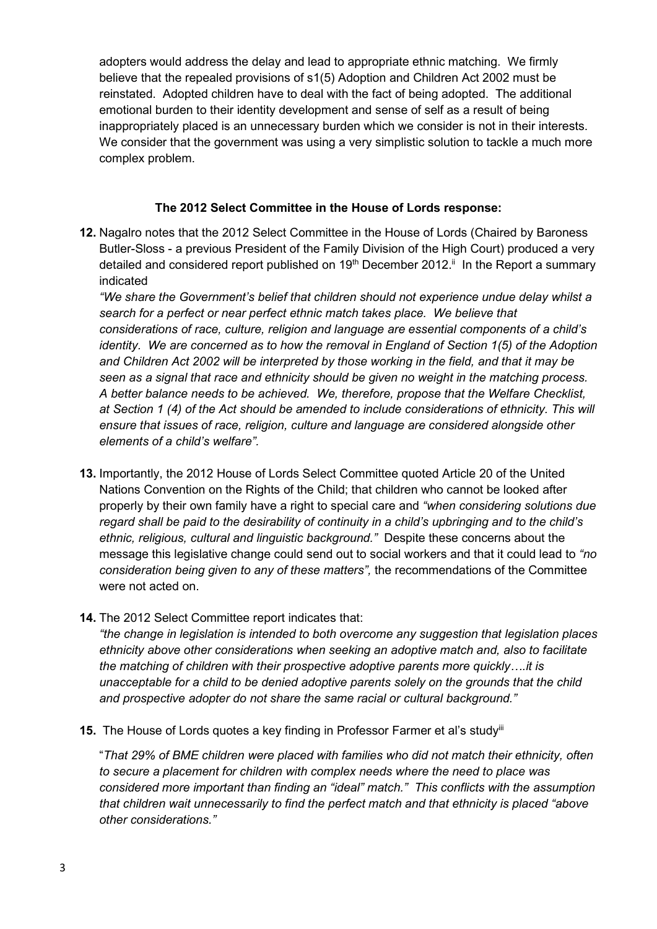adopters would address the delay and lead to appropriate ethnic matching. We firmly believe that the repealed provisions of s1(5) Adoption and Children Act 2002 must be reinstated. Adopted children have to deal with the fact of being adopted. The additional emotional burden to their identity development and sense of self as a result of being inappropriately placed is an unnecessary burden which we consider is not in their interests. We consider that the government was using a very simplistic solution to tackle a much more complex problem.

#### The 2012 Select Committee in the House of Lords response:

12. Nagalro notes that the 2012 Select Committee in the House of Lords (Chaired by Baroness Butler-Sloss - a previous President of the Family Division of the High Court) produced a very detailed and considered report published on 19<sup>th</sup> December 2012.<sup>ii</sup> In the Report a summary indicated

"We share the Government's belief that children should not experience undue delay whilst a search for a perfect or near perfect ethnic match takes place. We believe that considerations of race, culture, religion and language are essential components of a child's identity. We are concerned as to how the removal in England of Section 1(5) of the Adoption and Children Act 2002 will be interpreted by those working in the field, and that it may be seen as a signal that race and ethnicity should be given no weight in the matching process. A better balance needs to be achieved. We, therefore, propose that the Welfare Checklist, at Section 1 (4) of the Act should be amended to include considerations of ethnicity. This will ensure that issues of race, religion, culture and language are considered alongside other elements of a child's welfare".

- 13. Importantly, the 2012 House of Lords Select Committee quoted Article 20 of the United Nations Convention on the Rights of the Child; that children who cannot be looked after properly by their own family have a right to special care and "when considering solutions due regard shall be paid to the desirability of continuity in a child's upbringing and to the child's ethnic, religious, cultural and linguistic background." Despite these concerns about the message this legislative change could send out to social workers and that it could lead to "no consideration being given to any of these matters", the recommendations of the Committee were not acted on.
- 14. The 2012 Select Committee report indicates that:

"the change in legislation is intended to both overcome any suggestion that legislation places ethnicity above other considerations when seeking an adoptive match and, also to facilitate the matching of children with their prospective adoptive parents more quickly….it is unacceptable for a child to be denied adoptive parents solely on the grounds that the child and prospective adopter do not share the same racial or cultural background."

15. The House of Lords quotes a key finding in Professor Farmer et al's study<sup>iii</sup>

"That 29% of BME children were placed with families who did not match their ethnicity, often to secure a placement for children with complex needs where the need to place was considered more important than finding an "ideal" match." This conflicts with the assumption that children wait unnecessarily to find the perfect match and that ethnicity is placed "above other considerations."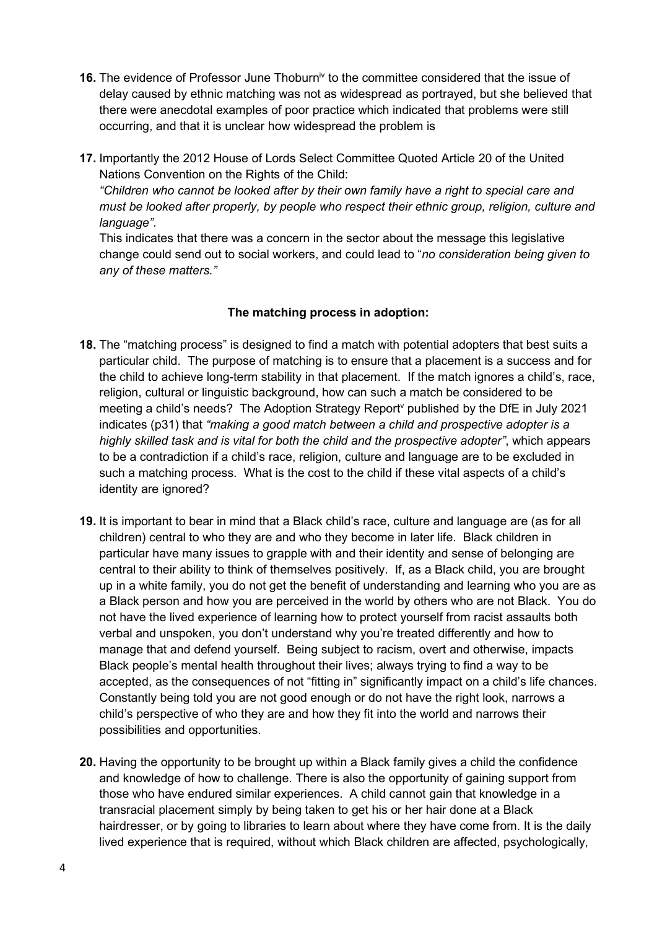- 16. The evidence of Professor June Thoburn<sup>iv</sup> to the committee considered that the issue of delay caused by ethnic matching was not as widespread as portrayed, but she believed that there were anecdotal examples of poor practice which indicated that problems were still occurring, and that it is unclear how widespread the problem is
- 17. Importantly the 2012 House of Lords Select Committee Quoted Article 20 of the United Nations Convention on the Rights of the Child:

"Children who cannot be looked after by their own family have a right to special care and must be looked after properly, by people who respect their ethnic group, religion, culture and language".

This indicates that there was a concern in the sector about the message this legislative change could send out to social workers, and could lead to "no consideration being given to any of these matters."

# The matching process in adoption:

- 18. The "matching process" is designed to find a match with potential adopters that best suits a particular child. The purpose of matching is to ensure that a placement is a success and for the child to achieve long-term stability in that placement. If the match ignores a child's, race, religion, cultural or linguistic background, how can such a match be considered to be meeting a child's needs? The Adoption Strategy Report<sup>v</sup> published by the DfE in July 2021 indicates (p31) that "making a good match between a child and prospective adopter is a highly skilled task and is vital for both the child and the prospective adopter", which appears to be a contradiction if a child's race, religion, culture and language are to be excluded in such a matching process. What is the cost to the child if these vital aspects of a child's identity are ignored?
- 19. It is important to bear in mind that a Black child's race, culture and language are (as for all children) central to who they are and who they become in later life. Black children in particular have many issues to grapple with and their identity and sense of belonging are central to their ability to think of themselves positively. If, as a Black child, you are brought up in a white family, you do not get the benefit of understanding and learning who you are as a Black person and how you are perceived in the world by others who are not Black. You do not have the lived experience of learning how to protect yourself from racist assaults both verbal and unspoken, you don't understand why you're treated differently and how to manage that and defend yourself. Being subject to racism, overt and otherwise, impacts Black people's mental health throughout their lives; always trying to find a way to be accepted, as the consequences of not "fitting in" significantly impact on a child's life chances. Constantly being told you are not good enough or do not have the right look, narrows a child's perspective of who they are and how they fit into the world and narrows their possibilities and opportunities.
- 20. Having the opportunity to be brought up within a Black family gives a child the confidence and knowledge of how to challenge. There is also the opportunity of gaining support from those who have endured similar experiences. A child cannot gain that knowledge in a transracial placement simply by being taken to get his or her hair done at a Black hairdresser, or by going to libraries to learn about where they have come from. It is the daily lived experience that is required, without which Black children are affected, psychologically,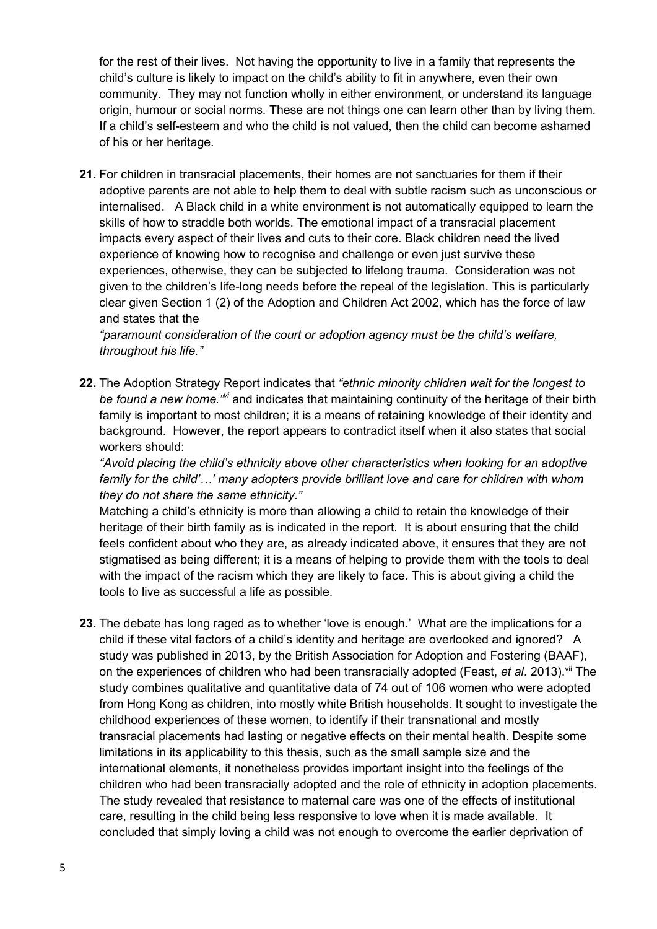for the rest of their lives. Not having the opportunity to live in a family that represents the child's culture is likely to impact on the child's ability to fit in anywhere, even their own community. They may not function wholly in either environment, or understand its language origin, humour or social norms. These are not things one can learn other than by living them. If a child's self-esteem and who the child is not valued, then the child can become ashamed of his or her heritage.

21. For children in transracial placements, their homes are not sanctuaries for them if their adoptive parents are not able to help them to deal with subtle racism such as unconscious or internalised. A Black child in a white environment is not automatically equipped to learn the skills of how to straddle both worlds. The emotional impact of a transracial placement impacts every aspect of their lives and cuts to their core. Black children need the lived experience of knowing how to recognise and challenge or even just survive these experiences, otherwise, they can be subjected to lifelong trauma. Consideration was not given to the children's life-long needs before the repeal of the legislation. This is particularly clear given Section 1 (2) of the Adoption and Children Act 2002, which has the force of law and states that the

"paramount consideration of the court or adoption agency must be the child's welfare, throughout his life."

22. The Adoption Strategy Report indicates that "ethnic minority children wait for the longest to be found a new home.<sup> $m$ </sup> and indicates that maintaining continuity of the heritage of their birth family is important to most children; it is a means of retaining knowledge of their identity and background. However, the report appears to contradict itself when it also states that social workers should:

"Avoid placing the child's ethnicity above other characteristics when looking for an adoptive family for the child'…' many adopters provide brilliant love and care for children with whom they do not share the same ethnicity."

Matching a child's ethnicity is more than allowing a child to retain the knowledge of their heritage of their birth family as is indicated in the report. It is about ensuring that the child feels confident about who they are, as already indicated above, it ensures that they are not stigmatised as being different; it is a means of helping to provide them with the tools to deal with the impact of the racism which they are likely to face. This is about giving a child the tools to live as successful a life as possible.

23. The debate has long raged as to whether 'love is enough.' What are the implications for a child if these vital factors of a child's identity and heritage are overlooked and ignored? A study was published in 2013, by the British Association for Adoption and Fostering (BAAF), on the experiences of children who had been transracially adopted (Feast, et al. 2013).<sup>vii</sup> The study combines qualitative and quantitative data of 74 out of 106 women who were adopted from Hong Kong as children, into mostly white British households. It sought to investigate the childhood experiences of these women, to identify if their transnational and mostly transracial placements had lasting or negative effects on their mental health. Despite some limitations in its applicability to this thesis, such as the small sample size and the international elements, it nonetheless provides important insight into the feelings of the children who had been transracially adopted and the role of ethnicity in adoption placements. The study revealed that resistance to maternal care was one of the effects of institutional care, resulting in the child being less responsive to love when it is made available. It concluded that simply loving a child was not enough to overcome the earlier deprivation of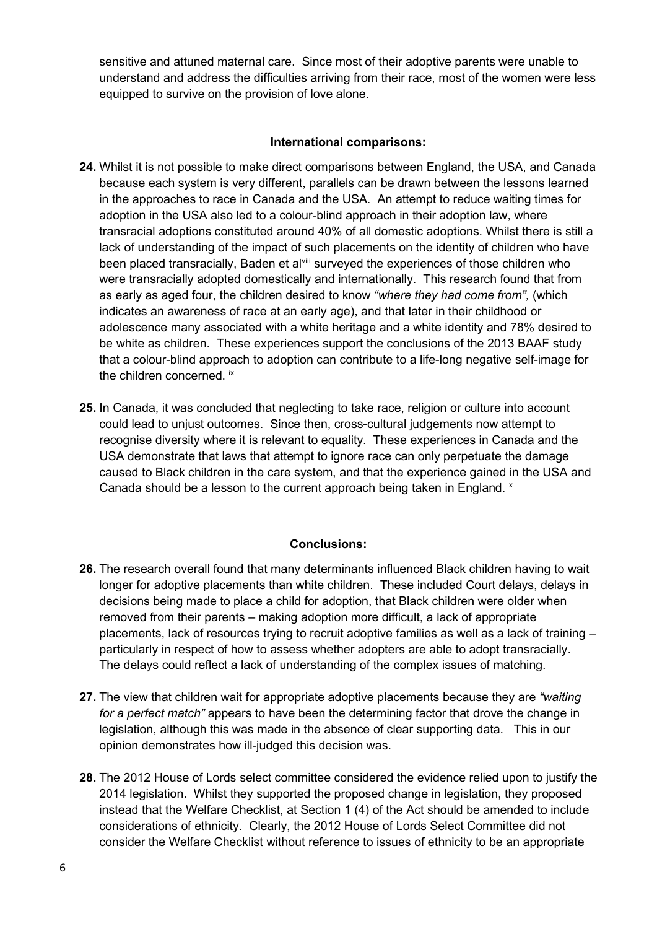sensitive and attuned maternal care. Since most of their adoptive parents were unable to understand and address the difficulties arriving from their race, most of the women were less equipped to survive on the provision of love alone.

### International comparisons:

- 24. Whilst it is not possible to make direct comparisons between England, the USA, and Canada because each system is very different, parallels can be drawn between the lessons learned in the approaches to race in Canada and the USA. An attempt to reduce waiting times for adoption in the USA also led to a colour-blind approach in their adoption law, where transracial adoptions constituted around 40% of all domestic adoptions. Whilst there is still a lack of understanding of the impact of such placements on the identity of children who have been placed transracially. Baden et al<sup>viii</sup> surveyed the experiences of those children who were transracially adopted domestically and internationally. This research found that from as early as aged four, the children desired to know "where they had come from", (which indicates an awareness of race at an early age), and that later in their childhood or adolescence many associated with a white heritage and a white identity and 78% desired to be white as children. These experiences support the conclusions of the 2013 BAAF study that a colour-blind approach to adoption can contribute to a life-long negative self-image for the children concerned. ix
- 25. In Canada, it was concluded that neglecting to take race, religion or culture into account could lead to unjust outcomes. Since then, cross-cultural judgements now attempt to recognise diversity where it is relevant to equality. These experiences in Canada and the USA demonstrate that laws that attempt to ignore race can only perpetuate the damage caused to Black children in the care system, and that the experience gained in the USA and Canada should be a lesson to the current approach being taken in England. x

# Conclusions:

- 26. The research overall found that many determinants influenced Black children having to wait longer for adoptive placements than white children. These included Court delays, delays in decisions being made to place a child for adoption, that Black children were older when removed from their parents – making adoption more difficult, a lack of appropriate placements, lack of resources trying to recruit adoptive families as well as a lack of training – particularly in respect of how to assess whether adopters are able to adopt transracially. The delays could reflect a lack of understanding of the complex issues of matching.
- 27. The view that children wait for appropriate adoptive placements because they are "waiting" for a perfect match" appears to have been the determining factor that drove the change in legislation, although this was made in the absence of clear supporting data. This in our opinion demonstrates how ill-judged this decision was.
- 28. The 2012 House of Lords select committee considered the evidence relied upon to justify the 2014 legislation. Whilst they supported the proposed change in legislation, they proposed instead that the Welfare Checklist, at Section 1 (4) of the Act should be amended to include considerations of ethnicity. Clearly, the 2012 House of Lords Select Committee did not consider the Welfare Checklist without reference to issues of ethnicity to be an appropriate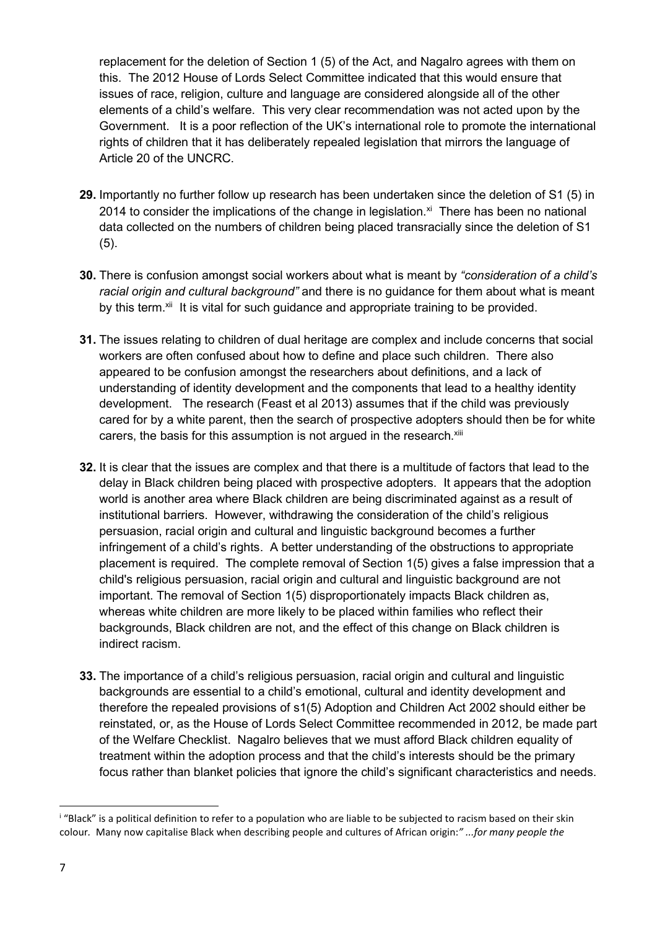replacement for the deletion of Section 1 (5) of the Act, and Nagalro agrees with them on this. The 2012 House of Lords Select Committee indicated that this would ensure that issues of race, religion, culture and language are considered alongside all of the other elements of a child's welfare. This very clear recommendation was not acted upon by the Government. It is a poor reflection of the UK's international role to promote the international rights of children that it has deliberately repealed legislation that mirrors the language of Article 20 of the UNCRC.

- 29. Importantly no further follow up research has been undertaken since the deletion of S1 (5) in 2014 to consider the implications of the change in legislation. $x<sup>i</sup>$  There has been no national data collected on the numbers of children being placed transracially since the deletion of S1 (5).
- 30. There is confusion amongst social workers about what is meant by "consideration of a child's racial origin and cultural background" and there is no quidance for them about what is meant by this term.<sup>xii</sup> It is vital for such guidance and appropriate training to be provided.
- 31. The issues relating to children of dual heritage are complex and include concerns that social workers are often confused about how to define and place such children. There also appeared to be confusion amongst the researchers about definitions, and a lack of understanding of identity development and the components that lead to a healthy identity development. The research (Feast et al 2013) assumes that if the child was previously cared for by a white parent, then the search of prospective adopters should then be for white carers, the basis for this assumption is not arqued in the research.<sup>xiii</sup>
- 32. It is clear that the issues are complex and that there is a multitude of factors that lead to the delay in Black children being placed with prospective adopters. It appears that the adoption world is another area where Black children are being discriminated against as a result of institutional barriers. However, withdrawing the consideration of the child's religious persuasion, racial origin and cultural and linguistic background becomes a further infringement of a child's rights. A better understanding of the obstructions to appropriate placement is required. The complete removal of Section 1(5) gives a false impression that a child's religious persuasion, racial origin and cultural and linguistic background are not important. The removal of Section 1(5) disproportionately impacts Black children as, whereas white children are more likely to be placed within families who reflect their backgrounds, Black children are not, and the effect of this change on Black children is indirect racism.
- 33. The importance of a child's religious persuasion, racial origin and cultural and linguistic backgrounds are essential to a child's emotional, cultural and identity development and therefore the repealed provisions of s1(5) Adoption and Children Act 2002 should either be reinstated, or, as the House of Lords Select Committee recommended in 2012, be made part of the Welfare Checklist. Nagalro believes that we must afford Black children equality of treatment within the adoption process and that the child's interests should be the primary focus rather than blanket policies that ignore the child's significant characteristics and needs.

<sup>&</sup>lt;sup>i</sup> "Black" is a political definition to refer to a population who are liable to be subjected to racism based on their skin colour. Many now capitalise Black when describing people and cultures of African origin:" ...for many people the